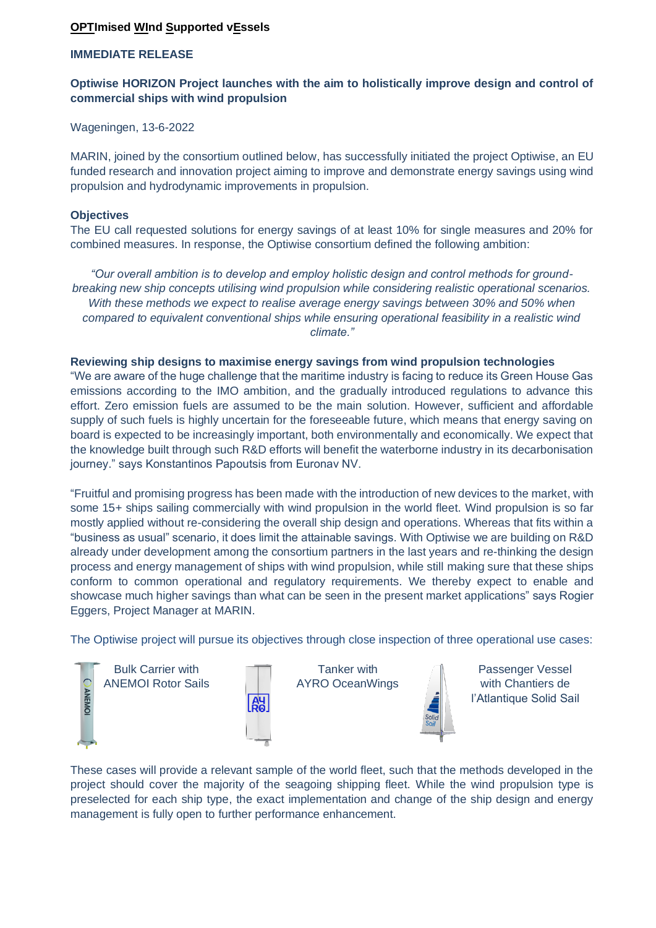# **OPTImised WInd Supported vEssels**

### **IMMEDIATE RELEASE**

# **Optiwise HORIZON Project launches with the aim to holistically improve design and control of commercial ships with wind propulsion**

Wageningen, 13-6-2022

MARIN, joined by the consortium outlined below, has successfully initiated the project Optiwise, an EU funded research and innovation project aiming to improve and demonstrate energy savings using wind propulsion and hydrodynamic improvements in propulsion.

#### **Objectives**

The EU call requested solutions for energy savings of at least 10% for single measures and 20% for combined measures. In response, the Optiwise consortium defined the following ambition:

*"Our overall ambition is to develop and employ holistic design and control methods for groundbreaking new ship concepts utilising wind propulsion while considering realistic operational scenarios. With these methods we expect to realise average energy savings between 30% and 50% when compared to equivalent conventional ships while ensuring operational feasibility in a realistic wind climate."*

#### **Reviewing ship designs to maximise energy savings from wind propulsion technologies**

"We are aware of the huge challenge that the maritime industry is facing to reduce its Green House Gas emissions according to the IMO ambition, and the gradually introduced regulations to advance this effort. Zero emission fuels are assumed to be the main solution. However, sufficient and affordable supply of such fuels is highly uncertain for the foreseeable future, which means that energy saving on board is expected to be increasingly important, both environmentally and economically. We expect that the knowledge built through such R&D efforts will benefit the waterborne industry in its decarbonisation journey." says Konstantinos Papoutsis from Euronav NV.

"Fruitful and promising progress has been made with the introduction of new devices to the market, with some 15+ ships sailing commercially with wind propulsion in the world fleet. Wind propulsion is so far mostly applied without re-considering the overall ship design and operations. Whereas that fits within a "business as usual" scenario, it does limit the attainable savings. With Optiwise we are building on R&D already under development among the consortium partners in the last years and re-thinking the design process and energy management of ships with wind propulsion, while still making sure that these ships conform to common operational and regulatory requirements. We thereby expect to enable and showcase much higher savings than what can be seen in the present market applications" says Rogier Eggers, Project Manager at MARIN.

The Optiwise project will pursue its objectives through close inspection of three operational use cases:



These cases will provide a relevant sample of the world fleet, such that the methods developed in the project should cover the majority of the seagoing shipping fleet. While the wind propulsion type is preselected for each ship type, the exact implementation and change of the ship design and energy management is fully open to further performance enhancement.